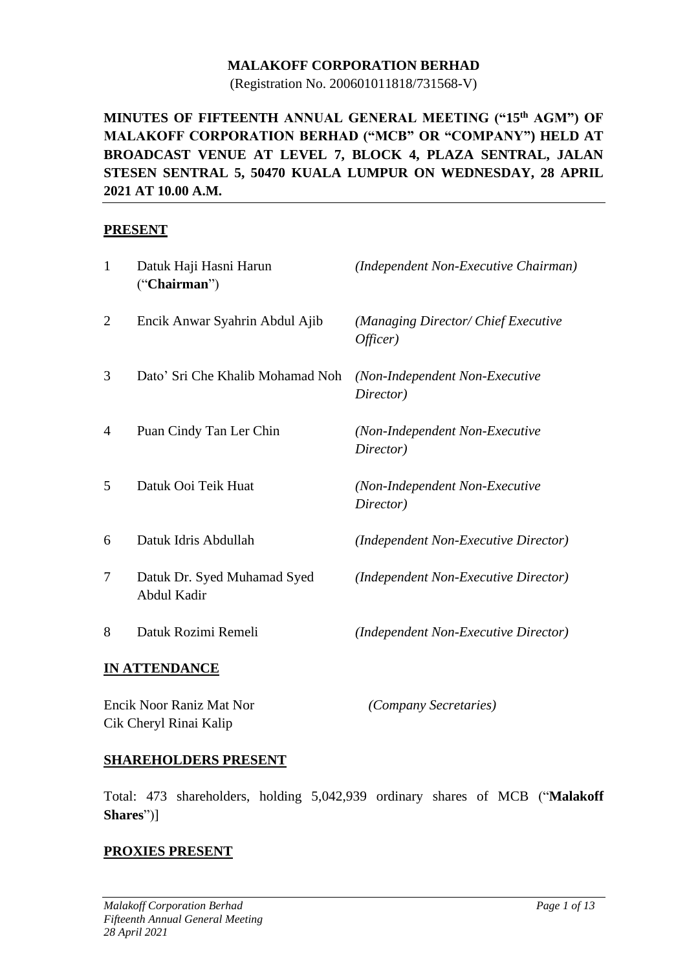### **MALAKOFF CORPORATION BERHAD**

(Registration No. 200601011818/731568-V)

## **MINUTES OF FIFTEENTH ANNUAL GENERAL MEETING ("15 th AGM") OF MALAKOFF CORPORATION BERHAD ("MCB" OR "COMPANY") HELD AT BROADCAST VENUE AT LEVEL 7, BLOCK 4, PLAZA SENTRAL, JALAN STESEN SENTRAL 5, 50470 KUALA LUMPUR ON WEDNESDAY, 28 APRIL 2021 AT 10.00 A.M.**

### **PRESENT**

| $\mathbf{1}$   | Datuk Haji Hasni Harun<br>("Chairman")     | (Independent Non-Executive Chairman)            |
|----------------|--------------------------------------------|-------------------------------------------------|
| $\overline{2}$ | Encik Anwar Syahrin Abdul Ajib             | (Managing Director/ Chief Executive<br>Officer) |
| 3              | Dato' Sri Che Khalib Mohamad Noh           | (Non-Independent Non-Executive<br>Director)     |
| 4              | Puan Cindy Tan Ler Chin                    | (Non-Independent Non-Executive<br>Director)     |
| 5              | Datuk Ooi Teik Huat                        | (Non-Independent Non-Executive<br>Director)     |
| 6              | Datuk Idris Abdullah                       | (Independent Non-Executive Director)            |
| 7              | Datuk Dr. Syed Muhamad Syed<br>Abdul Kadir | (Independent Non-Executive Director)            |
| 8              | Datuk Rozimi Remeli                        | (Independent Non-Executive Director)            |
|                | INI A TEENID A NICE                        |                                                 |

### **IN ATTENDANCE**

| Encik Noor Raniz Mat Nor | <i>(Company Secretaries)</i> |
|--------------------------|------------------------------|
| Cik Cheryl Rinai Kalip   |                              |

### **SHAREHOLDERS PRESENT**

Total: 473 shareholders, holding 5,042,939 ordinary shares of MCB ("**Malakoff Shares**")]

### **PROXIES PRESENT**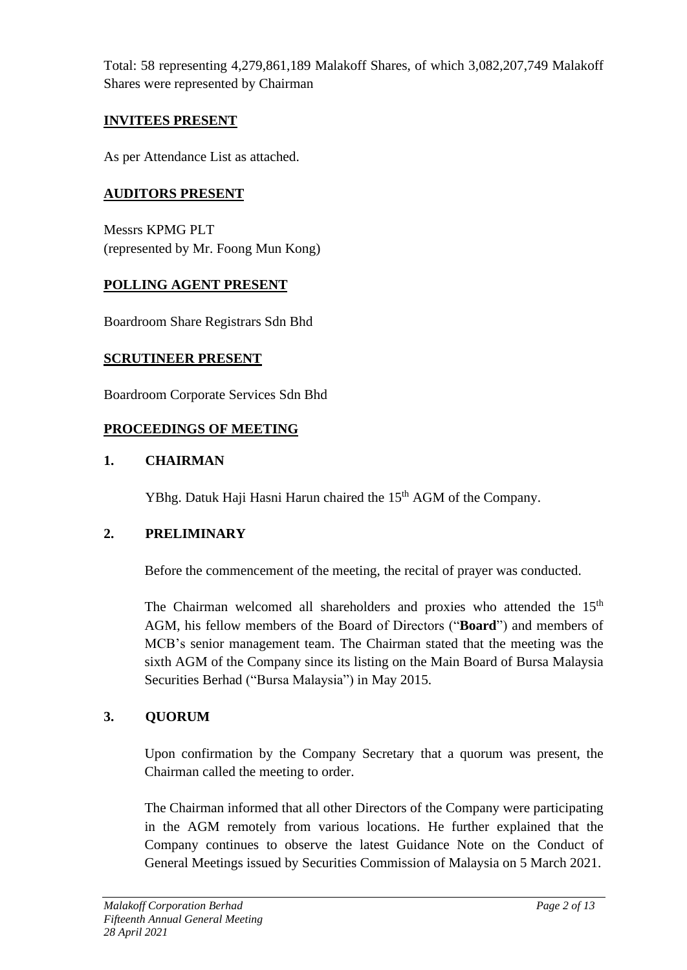Total: 58 representing 4,279,861,189 Malakoff Shares, of which 3,082,207,749 Malakoff Shares were represented by Chairman

## **INVITEES PRESENT**

As per Attendance List as attached.

## **AUDITORS PRESENT**

Messrs KPMG PLT (represented by Mr. Foong Mun Kong)

## **POLLING AGENT PRESENT**

Boardroom Share Registrars Sdn Bhd

## **SCRUTINEER PRESENT**

Boardroom Corporate Services Sdn Bhd

## **PROCEEDINGS OF MEETING**

## **1. CHAIRMAN**

YBhg. Datuk Haji Hasni Harun chaired the 15<sup>th</sup> AGM of the Company.

## **2. PRELIMINARY**

Before the commencement of the meeting, the recital of prayer was conducted.

The Chairman welcomed all shareholders and proxies who attended the 15<sup>th</sup> AGM, his fellow members of the Board of Directors ("**Board**") and members of MCB's senior management team. The Chairman stated that the meeting was the sixth AGM of the Company since its listing on the Main Board of Bursa Malaysia Securities Berhad ("Bursa Malaysia") in May 2015.

## **3. QUORUM**

Upon confirmation by the Company Secretary that a quorum was present, the Chairman called the meeting to order.

The Chairman informed that all other Directors of the Company were participating in the AGM remotely from various locations. He further explained that the Company continues to observe the latest Guidance Note on the Conduct of General Meetings issued by Securities Commission of Malaysia on 5 March 2021.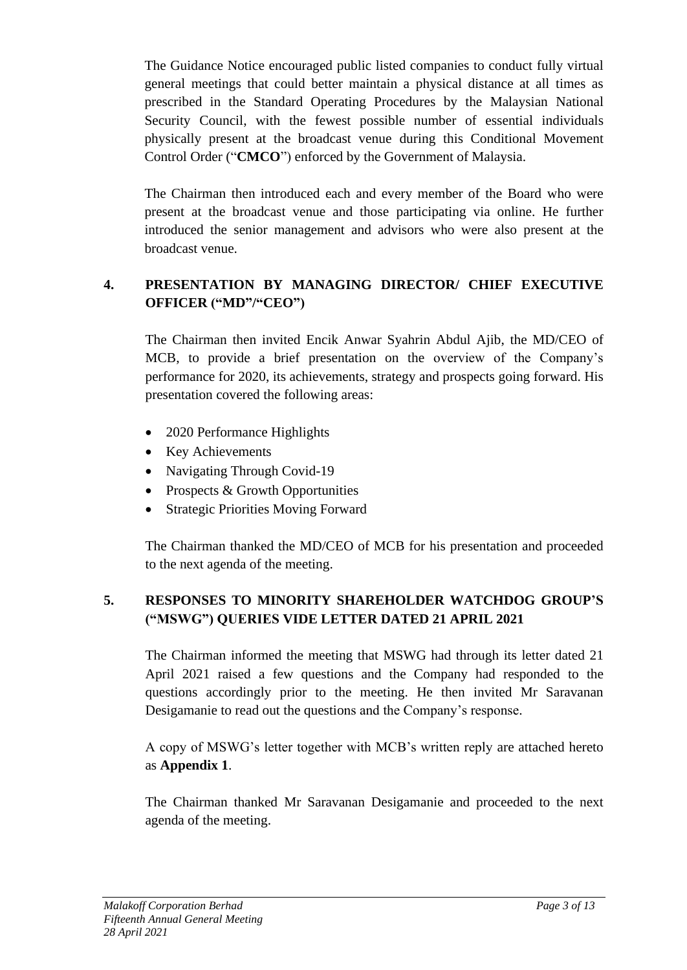The Guidance Notice encouraged public listed companies to conduct fully virtual general meetings that could better maintain a physical distance at all times as prescribed in the Standard Operating Procedures by the Malaysian National Security Council, with the fewest possible number of essential individuals physically present at the broadcast venue during this Conditional Movement Control Order ("**CMCO**") enforced by the Government of Malaysia.

The Chairman then introduced each and every member of the Board who were present at the broadcast venue and those participating via online. He further introduced the senior management and advisors who were also present at the broadcast venue.

## **4. PRESENTATION BY MANAGING DIRECTOR/ CHIEF EXECUTIVE OFFICER ("MD"/"CEO")**

The Chairman then invited Encik Anwar Syahrin Abdul Ajib, the MD/CEO of MCB, to provide a brief presentation on the overview of the Company's performance for 2020, its achievements, strategy and prospects going forward. His presentation covered the following areas:

- 2020 Performance Highlights
- Key Achievements
- Navigating Through Covid-19
- Prospects & Growth Opportunities
- Strategic Priorities Moving Forward

The Chairman thanked the MD/CEO of MCB for his presentation and proceeded to the next agenda of the meeting.

## **5. RESPONSES TO MINORITY SHAREHOLDER WATCHDOG GROUP'S ("MSWG") QUERIES VIDE LETTER DATED 21 APRIL 2021**

The Chairman informed the meeting that MSWG had through its letter dated 21 April 2021 raised a few questions and the Company had responded to the questions accordingly prior to the meeting. He then invited Mr Saravanan Desigamanie to read out the questions and the Company's response.

A copy of MSWG's letter together with MCB's written reply are attached hereto as **Appendix 1**.

The Chairman thanked Mr Saravanan Desigamanie and proceeded to the next agenda of the meeting.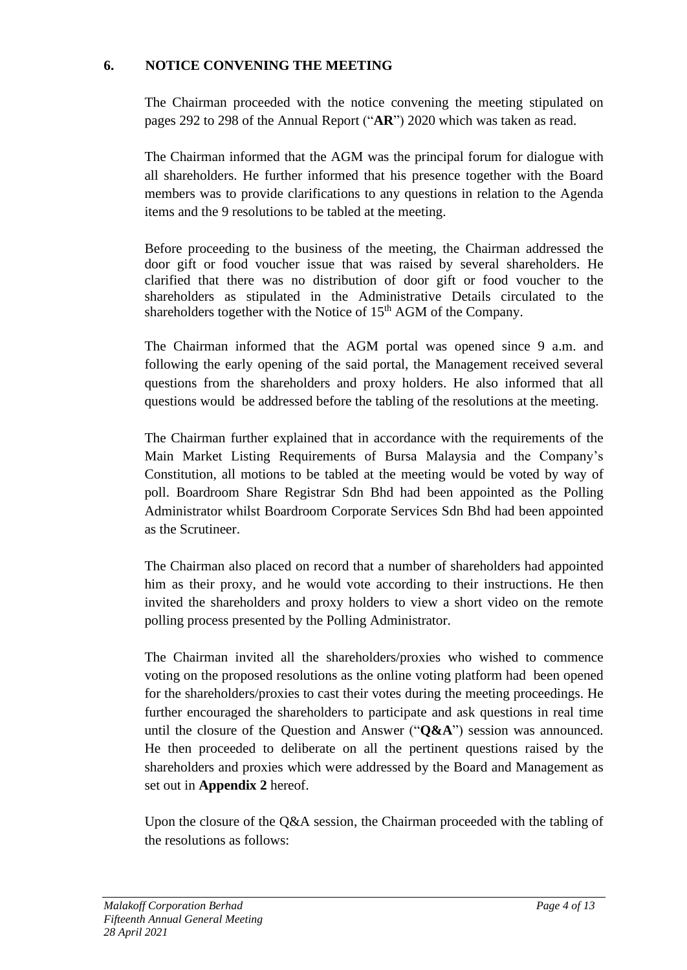### **6. NOTICE CONVENING THE MEETING**

The Chairman proceeded with the notice convening the meeting stipulated on pages 292 to 298 of the Annual Report ("**AR**") 2020 which was taken as read.

The Chairman informed that the AGM was the principal forum for dialogue with all shareholders. He further informed that his presence together with the Board members was to provide clarifications to any questions in relation to the Agenda items and the 9 resolutions to be tabled at the meeting.

Before proceeding to the business of the meeting, the Chairman addressed the door gift or food voucher issue that was raised by several shareholders. He clarified that there was no distribution of door gift or food voucher to the shareholders as stipulated in the Administrative Details circulated to the shareholders together with the Notice of 15<sup>th</sup> AGM of the Company.

The Chairman informed that the AGM portal was opened since 9 a.m. and following the early opening of the said portal, the Management received several questions from the shareholders and proxy holders. He also informed that all questions would be addressed before the tabling of the resolutions at the meeting.

The Chairman further explained that in accordance with the requirements of the Main Market Listing Requirements of Bursa Malaysia and the Company's Constitution, all motions to be tabled at the meeting would be voted by way of poll. Boardroom Share Registrar Sdn Bhd had been appointed as the Polling Administrator whilst Boardroom Corporate Services Sdn Bhd had been appointed as the Scrutineer.

The Chairman also placed on record that a number of shareholders had appointed him as their proxy, and he would vote according to their instructions. He then invited the shareholders and proxy holders to view a short video on the remote polling process presented by the Polling Administrator.

The Chairman invited all the shareholders/proxies who wished to commence voting on the proposed resolutions as the online voting platform had been opened for the shareholders/proxies to cast their votes during the meeting proceedings. He further encouraged the shareholders to participate and ask questions in real time until the closure of the Question and Answer ("**Q&A**") session was announced. He then proceeded to deliberate on all the pertinent questions raised by the shareholders and proxies which were addressed by the Board and Management as set out in **Appendix 2** hereof.

Upon the closure of the Q&A session, the Chairman proceeded with the tabling of the resolutions as follows: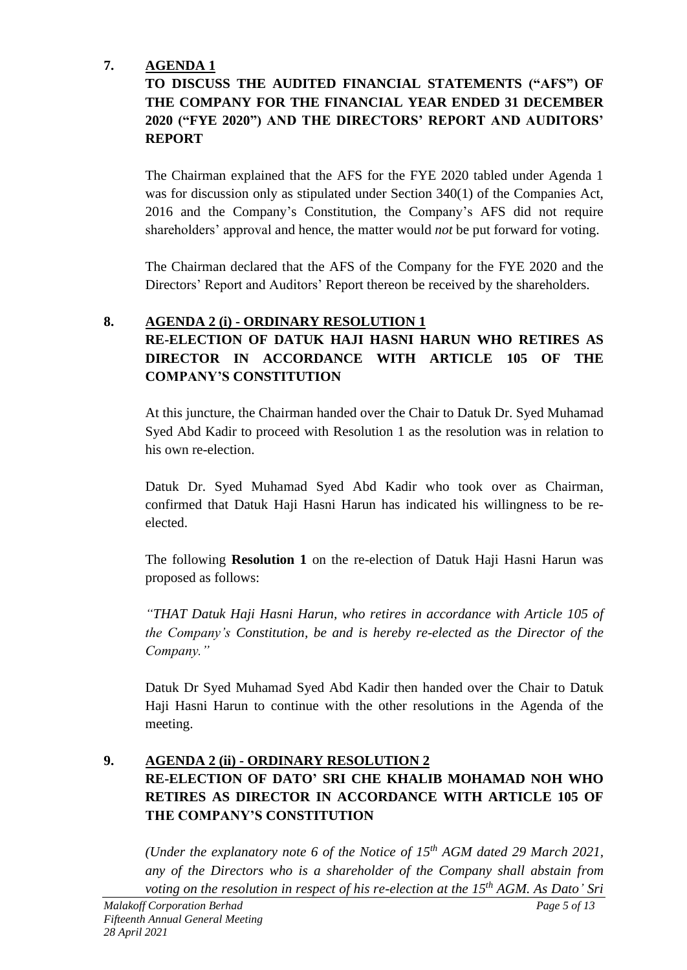# **7. AGENDA 1**

# **TO DISCUSS THE AUDITED FINANCIAL STATEMENTS ("AFS") OF THE COMPANY FOR THE FINANCIAL YEAR ENDED 31 DECEMBER 2020 ("FYE 2020") AND THE DIRECTORS' REPORT AND AUDITORS' REPORT**

The Chairman explained that the AFS for the FYE 2020 tabled under Agenda 1 was for discussion only as stipulated under Section 340(1) of the Companies Act, 2016 and the Company's Constitution, the Company's AFS did not require shareholders' approval and hence, the matter would *not* be put forward for voting.

The Chairman declared that the AFS of the Company for the FYE 2020 and the Directors' Report and Auditors' Report thereon be received by the shareholders.

## **8. AGENDA 2 (i) - ORDINARY RESOLUTION 1**

# **RE-ELECTION OF DATUK HAJI HASNI HARUN WHO RETIRES AS DIRECTOR IN ACCORDANCE WITH ARTICLE 105 OF THE COMPANY'S CONSTITUTION**

At this juncture, the Chairman handed over the Chair to Datuk Dr. Syed Muhamad Syed Abd Kadir to proceed with Resolution 1 as the resolution was in relation to his own re-election.

Datuk Dr. Syed Muhamad Syed Abd Kadir who took over as Chairman, confirmed that Datuk Haji Hasni Harun has indicated his willingness to be reelected.

The following **Resolution 1** on the re-election of Datuk Haji Hasni Harun was proposed as follows:

*"THAT Datuk Haji Hasni Harun, who retires in accordance with Article 105 of the Company's Constitution, be and is hereby re-elected as the Director of the Company."* 

Datuk Dr Syed Muhamad Syed Abd Kadir then handed over the Chair to Datuk Haji Hasni Harun to continue with the other resolutions in the Agenda of the meeting.

## **9. AGENDA 2 (ii) - ORDINARY RESOLUTION 2 RE-ELECTION OF DATO' SRI CHE KHALIB MOHAMAD NOH WHO RETIRES AS DIRECTOR IN ACCORDANCE WITH ARTICLE 105 OF THE COMPANY'S CONSTITUTION**

*(Under the explanatory note 6 of the Notice of 15 th AGM dated 29 March 2021, any of the Directors who is a shareholder of the Company shall abstain from voting on the resolution in respect of his re-election at the 15 th AGM. As Dato' Sri*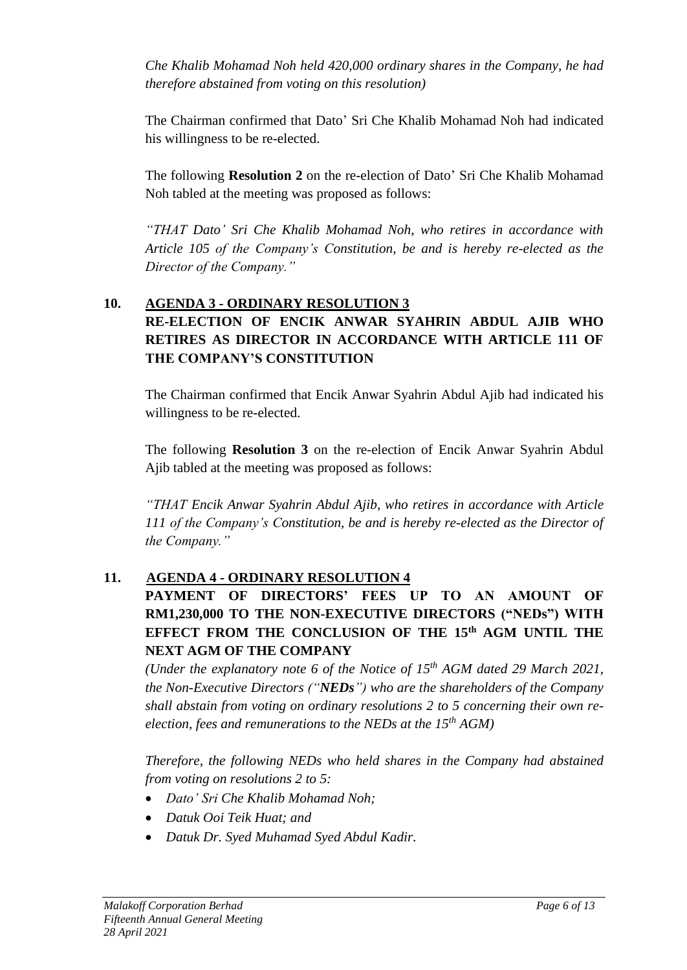*Che Khalib Mohamad Noh held 420,000 ordinary shares in the Company, he had therefore abstained from voting on this resolution)*

The Chairman confirmed that Dato' Sri Che Khalib Mohamad Noh had indicated his willingness to be re-elected.

The following **Resolution 2** on the re-election of Dato' Sri Che Khalib Mohamad Noh tabled at the meeting was proposed as follows:

*"THAT Dato' Sri Che Khalib Mohamad Noh, who retires in accordance with Article 105 of the Company's Constitution, be and is hereby re-elected as the Director of the Company."* 

## **10. AGENDA 3 - ORDINARY RESOLUTION 3 RE-ELECTION OF ENCIK ANWAR SYAHRIN ABDUL AJIB WHO RETIRES AS DIRECTOR IN ACCORDANCE WITH ARTICLE 111 OF THE COMPANY'S CONSTITUTION**

The Chairman confirmed that Encik Anwar Syahrin Abdul Ajib had indicated his willingness to be re-elected.

The following **Resolution 3** on the re-election of Encik Anwar Syahrin Abdul Ajib tabled at the meeting was proposed as follows:

*"THAT Encik Anwar Syahrin Abdul Ajib, who retires in accordance with Article 111 of the Company's Constitution, be and is hereby re-elected as the Director of the Company."* 

## **11. AGENDA 4 - ORDINARY RESOLUTION 4**

# **PAYMENT OF DIRECTORS' FEES UP TO AN AMOUNT OF RM1,230,000 TO THE NON-EXECUTIVE DIRECTORS ("NEDs") WITH EFFECT FROM THE CONCLUSION OF THE 15th AGM UNTIL THE NEXT AGM OF THE COMPANY**

*(Under the explanatory note 6 of the Notice of 15 th AGM dated 29 March 2021, the Non-Executive Directors ("NEDs") who are the shareholders of the Company shall abstain from voting on ordinary resolutions 2 to 5 concerning their own reelection, fees and remunerations to the NEDs at the 15 th AGM)*

*Therefore, the following NEDs who held shares in the Company had abstained from voting on resolutions 2 to 5:* 

- *Dato' Sri Che Khalib Mohamad Noh;*
- *Datuk Ooi Teik Huat; and*
- *Datuk Dr. Syed Muhamad Syed Abdul Kadir.*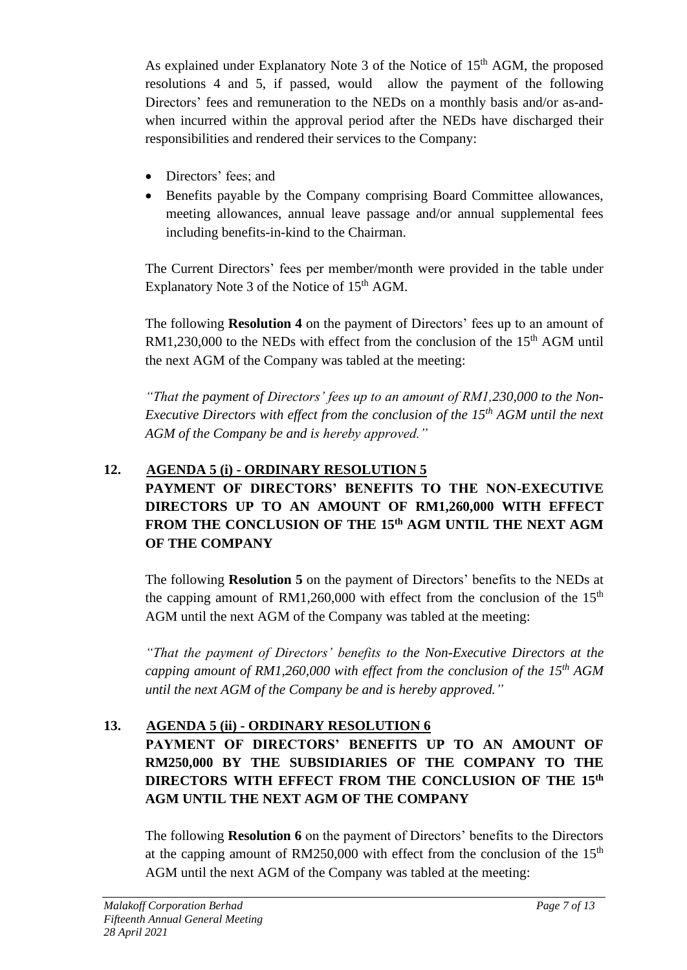As explained under Explanatory Note 3 of the Notice of 15<sup>th</sup> AGM, the proposed resolutions 4 and 5, if passed, would allow the payment of the following Directors' fees and remuneration to the NEDs on a monthly basis and/or as-andwhen incurred within the approval period after the NEDs have discharged their responsibilities and rendered their services to the Company:

- Directors' fees; and
- Benefits payable by the Company comprising Board Committee allowances, meeting allowances, annual leave passage and/or annual supplemental fees including benefits-in-kind to the Chairman.

The Current Directors' fees per member/month were provided in the table under Explanatory Note 3 of the Notice of  $15<sup>th</sup>$  AGM.

The following **Resolution 4** on the payment of Directors' fees up to an amount of  $RM1,230,000$  to the NEDs with effect from the conclusion of the 15<sup>th</sup> AGM until the next AGM of the Company was tabled at the meeting:

*"That the payment of Directors' fees up to an amount of RM1,230,000 to the Non-Executive Directors with effect from the conclusion of the 15th AGM until the next AGM of the Company be and is hereby approved."*

### **12. AGENDA 5 (i) - ORDINARY RESOLUTION 5 PAYMENT OF DIRECTORS' BENEFITS TO THE NON-EXECUTIVE DIRECTORS UP TO AN AMOUNT OF RM1,260,000 WITH EFFECT FROM THE CONCLUSION OF THE 15th AGM UNTIL THE NEXT AGM**

**OF THE COMPANY**

The following **Resolution 5** on the payment of Directors' benefits to the NEDs at the capping amount of RM1,260,000 with effect from the conclusion of the  $15<sup>th</sup>$ AGM until the next AGM of the Company was tabled at the meeting:

*"That the payment of Directors' benefits to the Non-Executive Directors at the capping amount of RM1,260,000 with effect from the conclusion of the 15th AGM until the next AGM of the Company be and is hereby approved."*

# **13. AGENDA 5 (ii) - ORDINARY RESOLUTION 6**

## **PAYMENT OF DIRECTORS' BENEFITS UP TO AN AMOUNT OF RM250,000 BY THE SUBSIDIARIES OF THE COMPANY TO THE DIRECTORS WITH EFFECT FROM THE CONCLUSION OF THE 15th AGM UNTIL THE NEXT AGM OF THE COMPANY**

The following **Resolution 6** on the payment of Directors' benefits to the Directors at the capping amount of RM250,000 with effect from the conclusion of the  $15<sup>th</sup>$ AGM until the next AGM of the Company was tabled at the meeting: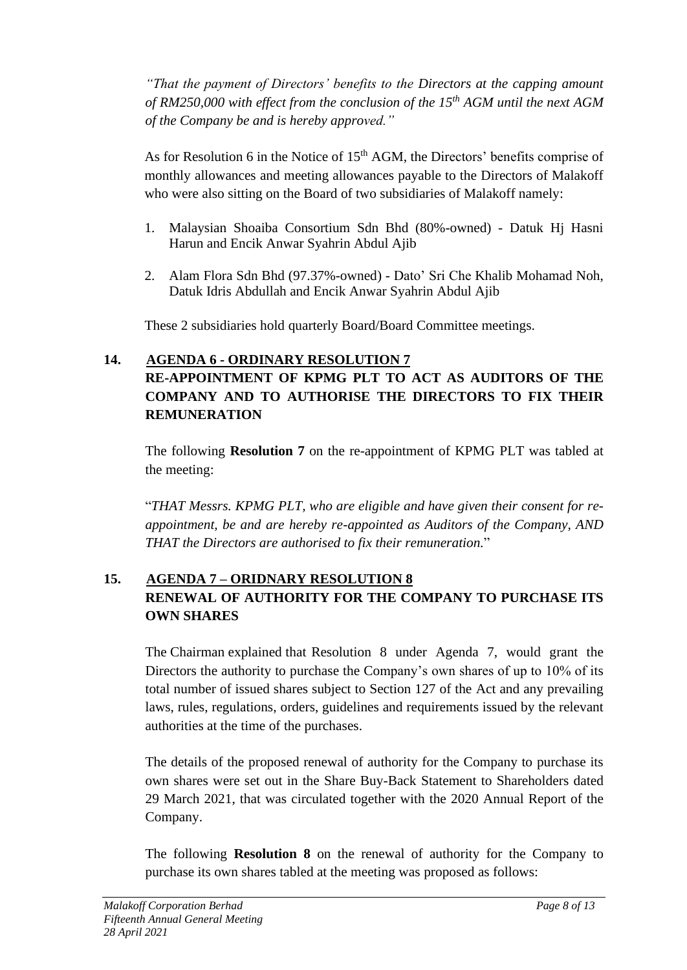*"That the payment of Directors' benefits to the Directors at the capping amount of RM250,000 with effect from the conclusion of the 15th AGM until the next AGM of the Company be and is hereby approved."*

As for Resolution 6 in the Notice of  $15<sup>th</sup>$  AGM, the Directors' benefits comprise of monthly allowances and meeting allowances payable to the Directors of Malakoff who were also sitting on the Board of two subsidiaries of Malakoff namely:

- 1. Malaysian Shoaiba Consortium Sdn Bhd (80%-owned) Datuk Hj Hasni Harun and Encik Anwar Syahrin Abdul Ajib
- 2. Alam Flora Sdn Bhd (97.37%-owned) Dato' Sri Che Khalib Mohamad Noh, Datuk Idris Abdullah and Encik Anwar Syahrin Abdul Ajib

These 2 subsidiaries hold quarterly Board/Board Committee meetings.

## **14. AGENDA 6 - ORDINARY RESOLUTION 7**

## **RE-APPOINTMENT OF KPMG PLT TO ACT AS AUDITORS OF THE COMPANY AND TO AUTHORISE THE DIRECTORS TO FIX THEIR REMUNERATION**

The following **Resolution 7** on the re-appointment of KPMG PLT was tabled at the meeting:

"*THAT Messrs. KPMG PLT, who are eligible and have given their consent for reappointment, be and are hereby re-appointed as Auditors of the Company, AND THAT the Directors are authorised to fix their remuneration.*"

# **15. AGENDA 7 – ORIDNARY RESOLUTION 8 RENEWAL OF AUTHORITY FOR THE COMPANY TO PURCHASE ITS OWN SHARES**

The Chairman explained that Resolution 8 under Agenda 7, would grant the Directors the authority to purchase the Company's own shares of up to 10% of its total number of issued shares subject to Section 127 of the Act and any prevailing laws, rules, regulations, orders, guidelines and requirements issued by the relevant authorities at the time of the purchases.

The details of the proposed renewal of authority for the Company to purchase its own shares were set out in the Share Buy-Back Statement to Shareholders dated 29 March 2021, that was circulated together with the 2020 Annual Report of the Company.

The following **Resolution 8** on the renewal of authority for the Company to purchase its own shares tabled at the meeting was proposed as follows: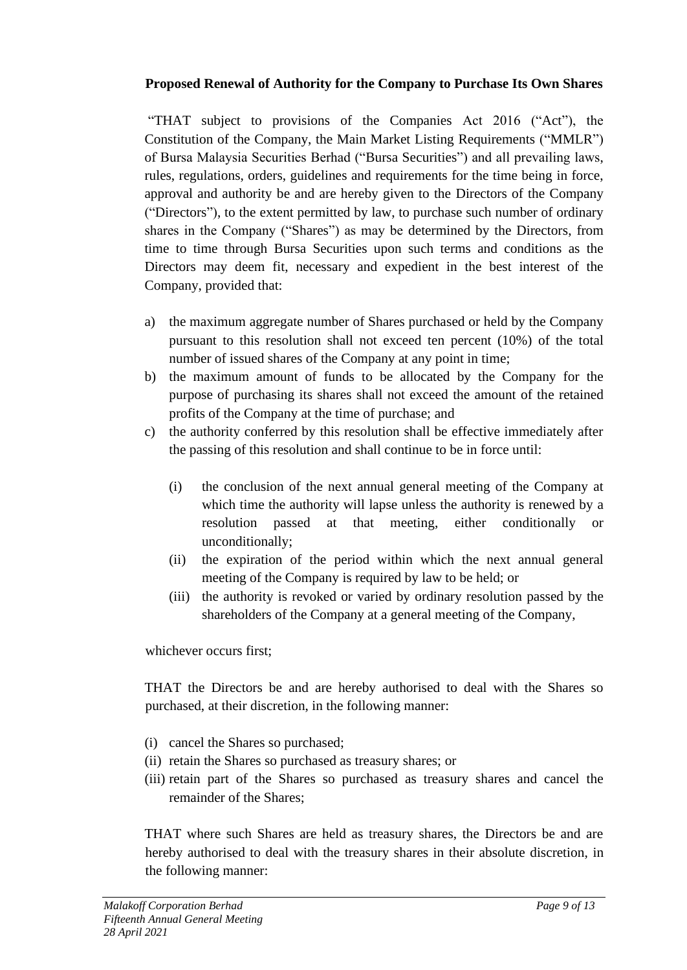### **Proposed Renewal of Authority for the Company to Purchase Its Own Shares**

"THAT subject to provisions of the Companies Act 2016 ("Act"), the Constitution of the Company, the Main Market Listing Requirements ("MMLR") of Bursa Malaysia Securities Berhad ("Bursa Securities") and all prevailing laws, rules, regulations, orders, guidelines and requirements for the time being in force, approval and authority be and are hereby given to the Directors of the Company ("Directors"), to the extent permitted by law, to purchase such number of ordinary shares in the Company ("Shares") as may be determined by the Directors, from time to time through Bursa Securities upon such terms and conditions as the Directors may deem fit, necessary and expedient in the best interest of the Company, provided that:

- a) the maximum aggregate number of Shares purchased or held by the Company pursuant to this resolution shall not exceed ten percent (10%) of the total number of issued shares of the Company at any point in time;
- b) the maximum amount of funds to be allocated by the Company for the purpose of purchasing its shares shall not exceed the amount of the retained profits of the Company at the time of purchase; and
- c) the authority conferred by this resolution shall be effective immediately after the passing of this resolution and shall continue to be in force until:
	- (i) the conclusion of the next annual general meeting of the Company at which time the authority will lapse unless the authority is renewed by a resolution passed at that meeting, either conditionally or unconditionally;
	- (ii) the expiration of the period within which the next annual general meeting of the Company is required by law to be held; or
	- (iii) the authority is revoked or varied by ordinary resolution passed by the shareholders of the Company at a general meeting of the Company,

whichever occurs first;

THAT the Directors be and are hereby authorised to deal with the Shares so purchased, at their discretion, in the following manner:

- (i) cancel the Shares so purchased;
- (ii) retain the Shares so purchased as treasury shares; or
- (iii) retain part of the Shares so purchased as treasury shares and cancel the remainder of the Shares;

THAT where such Shares are held as treasury shares, the Directors be and are hereby authorised to deal with the treasury shares in their absolute discretion, in the following manner: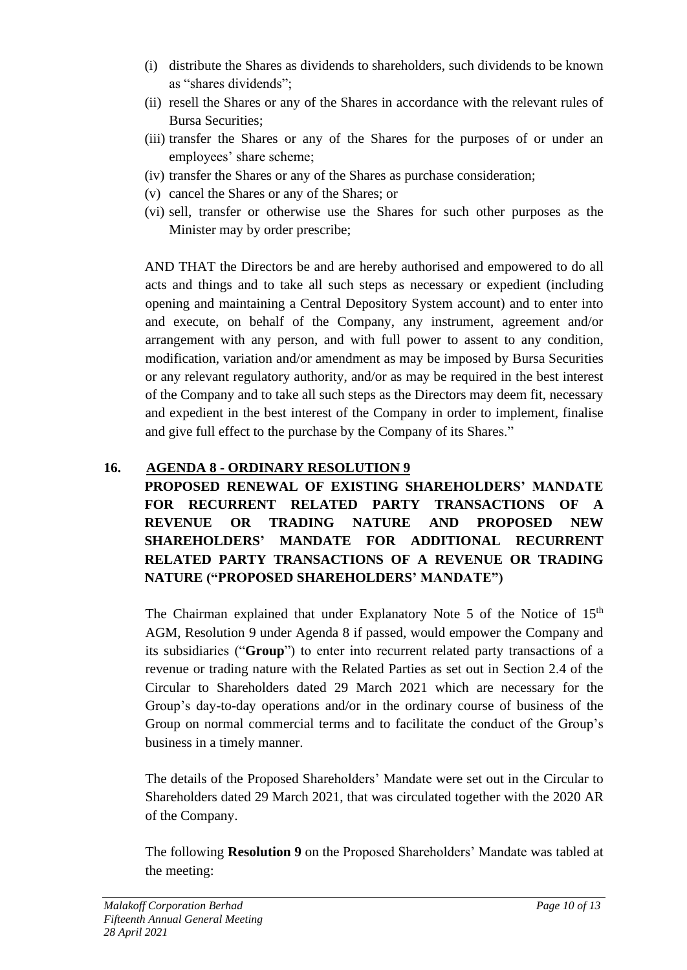- (i) distribute the Shares as dividends to shareholders, such dividends to be known as "shares dividends";
- (ii) resell the Shares or any of the Shares in accordance with the relevant rules of Bursa Securities;
- (iii) transfer the Shares or any of the Shares for the purposes of or under an employees' share scheme;
- (iv) transfer the Shares or any of the Shares as purchase consideration;
- (v) cancel the Shares or any of the Shares; or
- (vi) sell, transfer or otherwise use the Shares for such other purposes as the Minister may by order prescribe;

AND THAT the Directors be and are hereby authorised and empowered to do all acts and things and to take all such steps as necessary or expedient (including opening and maintaining a Central Depository System account) and to enter into and execute, on behalf of the Company, any instrument, agreement and/or arrangement with any person, and with full power to assent to any condition, modification, variation and/or amendment as may be imposed by Bursa Securities or any relevant regulatory authority, and/or as may be required in the best interest of the Company and to take all such steps as the Directors may deem fit, necessary and expedient in the best interest of the Company in order to implement, finalise and give full effect to the purchase by the Company of its Shares."

## **16. AGENDA 8 - ORDINARY RESOLUTION 9**

**PROPOSED RENEWAL OF EXISTING SHAREHOLDERS' MANDATE FOR RECURRENT RELATED PARTY TRANSACTIONS OF A REVENUE OR TRADING NATURE AND PROPOSED NEW SHAREHOLDERS' MANDATE FOR ADDITIONAL RECURRENT RELATED PARTY TRANSACTIONS OF A REVENUE OR TRADING NATURE ("PROPOSED SHAREHOLDERS' MANDATE")**

The Chairman explained that under Explanatory Note 5 of the Notice of 15<sup>th</sup> AGM, Resolution 9 under Agenda 8 if passed, would empower the Company and its subsidiaries ("**Group**") to enter into recurrent related party transactions of a revenue or trading nature with the Related Parties as set out in Section 2.4 of the Circular to Shareholders dated 29 March 2021 which are necessary for the Group's day-to-day operations and/or in the ordinary course of business of the Group on normal commercial terms and to facilitate the conduct of the Group's business in a timely manner.

The details of the Proposed Shareholders' Mandate were set out in the Circular to Shareholders dated 29 March 2021, that was circulated together with the 2020 AR of the Company.

The following **Resolution 9** on the Proposed Shareholders' Mandate was tabled at the meeting: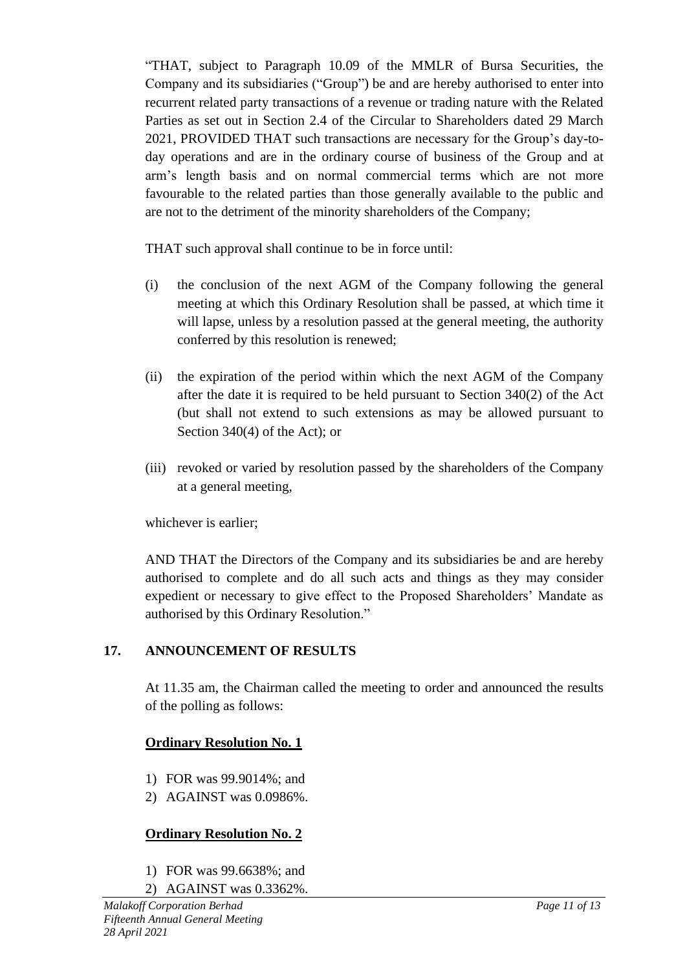"THAT, subject to Paragraph 10.09 of the MMLR of Bursa Securities, the Company and its subsidiaries ("Group") be and are hereby authorised to enter into recurrent related party transactions of a revenue or trading nature with the Related Parties as set out in Section 2.4 of the Circular to Shareholders dated 29 March 2021, PROVIDED THAT such transactions are necessary for the Group's day-today operations and are in the ordinary course of business of the Group and at arm's length basis and on normal commercial terms which are not more favourable to the related parties than those generally available to the public and are not to the detriment of the minority shareholders of the Company;

THAT such approval shall continue to be in force until:

- (i) the conclusion of the next AGM of the Company following the general meeting at which this Ordinary Resolution shall be passed, at which time it will lapse, unless by a resolution passed at the general meeting, the authority conferred by this resolution is renewed;
- (ii) the expiration of the period within which the next AGM of the Company after the date it is required to be held pursuant to Section 340(2) of the Act (but shall not extend to such extensions as may be allowed pursuant to Section 340(4) of the Act); or
- (iii) revoked or varied by resolution passed by the shareholders of the Company at a general meeting,

whichever is earlier;

AND THAT the Directors of the Company and its subsidiaries be and are hereby authorised to complete and do all such acts and things as they may consider expedient or necessary to give effect to the Proposed Shareholders' Mandate as authorised by this Ordinary Resolution."

## **17. ANNOUNCEMENT OF RESULTS**

At 11.35 am, the Chairman called the meeting to order and announced the results of the polling as follows:

## **Ordinary Resolution No. 1**

- 1) FOR was 99.9014%; and
- 2) AGAINST was 0.0986%.

# **Ordinary Resolution No. 2**

- 1) FOR was 99.6638%; and
- 2) AGAINST was 0.3362%.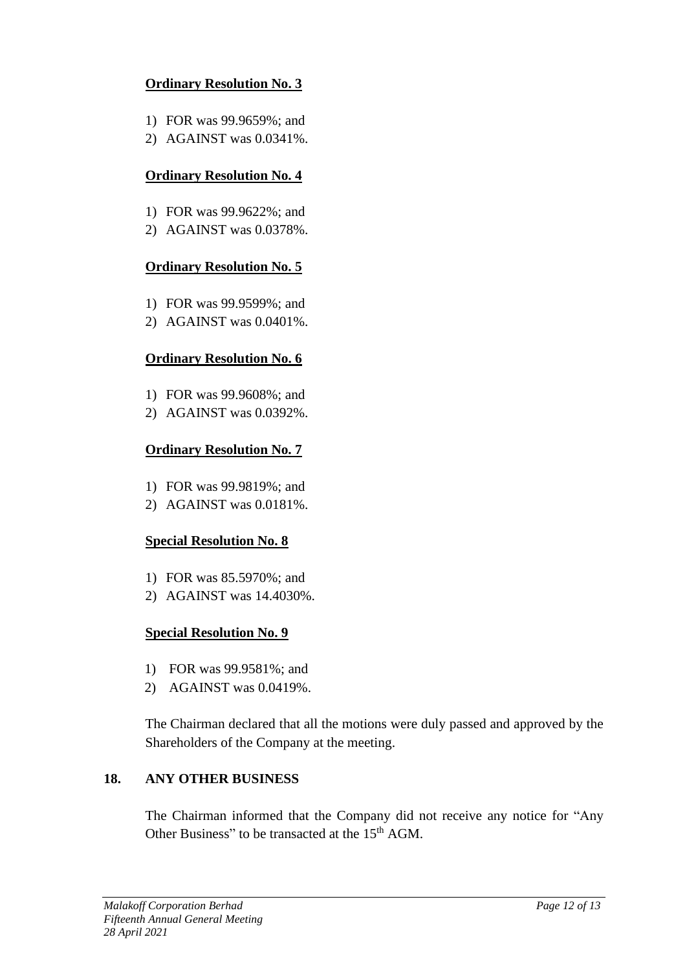## **Ordinary Resolution No. 3**

- 1) FOR was 99.9659%; and
- 2) AGAINST was 0.0341%.

## **Ordinary Resolution No. 4**

- 1) FOR was 99.9622%; and
- 2) AGAINST was 0.0378%.

## **Ordinary Resolution No. 5**

- 1) FOR was 99.9599%; and
- 2) AGAINST was 0.0401%.

## **Ordinary Resolution No. 6**

- 1) FOR was 99.9608%; and
- 2) AGAINST was 0.0392%.

## **Ordinary Resolution No. 7**

- 1) FOR was 99.9819%; and
- 2) AGAINST was 0.0181%.

## **Special Resolution No. 8**

- 1) FOR was 85.5970%; and
- 2) AGAINST was 14.4030%.

## **Special Resolution No. 9**

- 1) FOR was 99.9581%; and
- 2) AGAINST was 0.0419%.

The Chairman declared that all the motions were duly passed and approved by the Shareholders of the Company at the meeting.

## **18. ANY OTHER BUSINESS**

The Chairman informed that the Company did not receive any notice for "Any Other Business" to be transacted at the 15<sup>th</sup> AGM.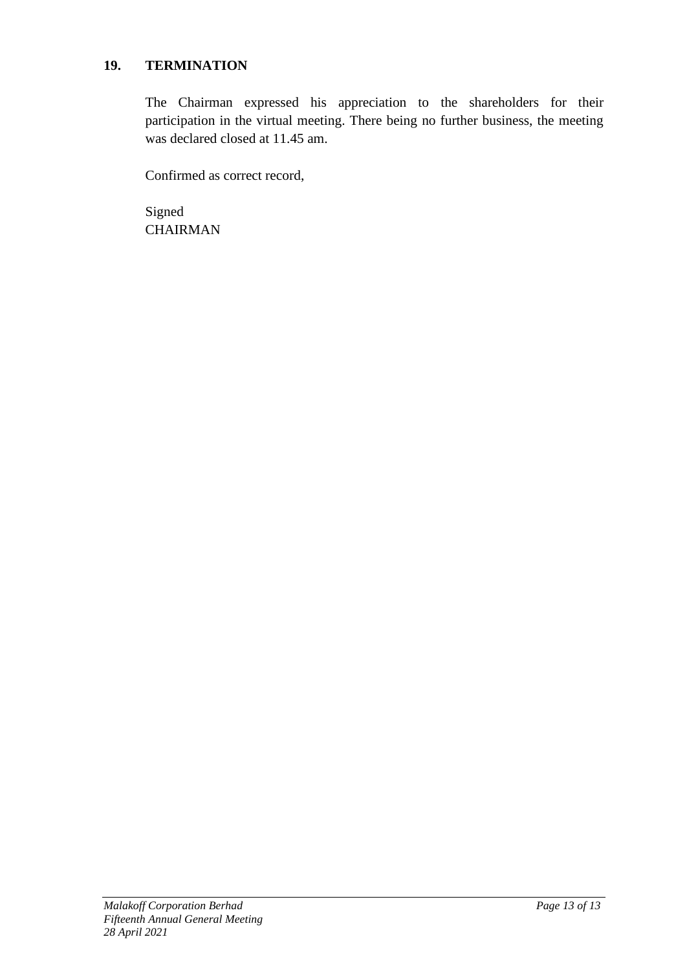### **19. TERMINATION**

The Chairman expressed his appreciation to the shareholders for their participation in the virtual meeting. There being no further business, the meeting was declared closed at 11.45 am.

Confirmed as correct record,

Signed CHAIRMAN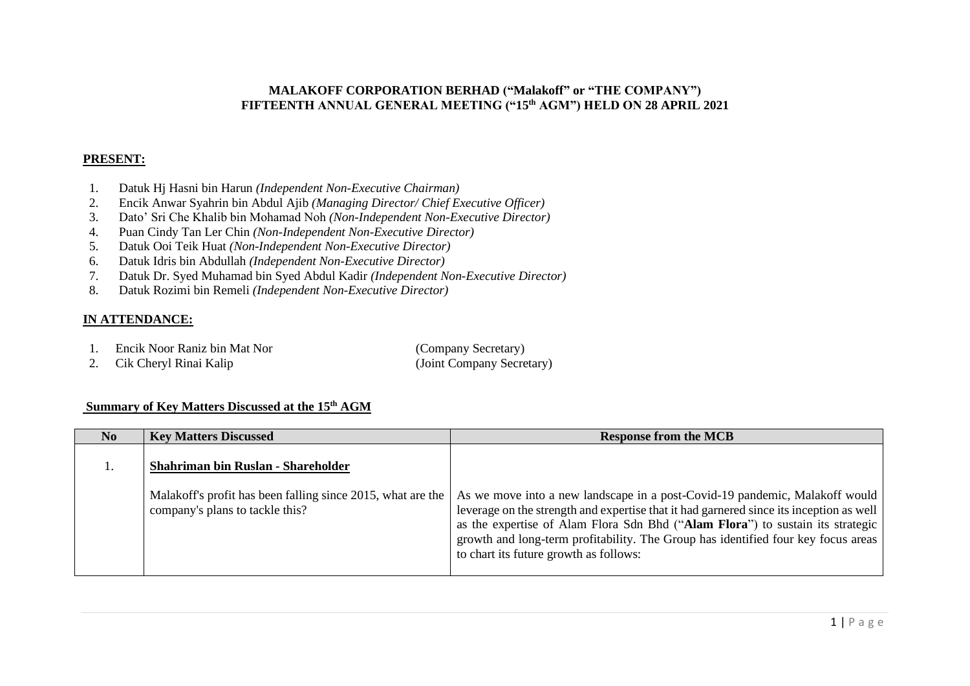### **MALAKOFF CORPORATION BERHAD ("Malakoff" or "THE COMPANY") FIFTEENTH ANNUAL GENERAL MEETING ("15 th AGM") HELD ON 28 APRIL 2021**

#### **PRESENT:**

- 1. Datuk Hj Hasni bin Harun *(Independent Non-Executive Chairman)*
- 2. Encik Anwar Syahrin bin Abdul Ajib *(Managing Director/ Chief Executive Officer)*
- 3. Dato' Sri Che Khalib bin Mohamad Noh *(Non-Independent Non-Executive Director)*
- 4. Puan Cindy Tan Ler Chin *(Non-Independent Non-Executive Director)*
- 5. Datuk Ooi Teik Huat *(Non-Independent Non-Executive Director)*
- 6. Datuk Idris bin Abdullah *(Independent Non-Executive Director)*
- 7. Datuk Dr. Syed Muhamad bin Syed Abdul Kadir *(Independent Non-Executive Director)*
- 8. Datuk Rozimi bin Remeli *(Independent Non-Executive Director)*

### **IN ATTENDANCE:**

- 1. Encik Noor Raniz bin Mat Nor (Company Secretary)
- 2. Cik Cheryl Rinai Kalip (Joint Company Secretary)

### **Summary of Key Matters Discussed at the 15 th AGM**

| N <sub>0</sub> | <b>Key Matters Discussed</b>                                                                   | <b>Response from the MCB</b>                                                                                                                                                                                                                                                                                                                                                            |
|----------------|------------------------------------------------------------------------------------------------|-----------------------------------------------------------------------------------------------------------------------------------------------------------------------------------------------------------------------------------------------------------------------------------------------------------------------------------------------------------------------------------------|
|                | Shahriman bin Ruslan - Shareholder                                                             |                                                                                                                                                                                                                                                                                                                                                                                         |
|                | Malakoff's profit has been falling since 2015, what are the<br>company's plans to tackle this? | As we move into a new landscape in a post-Covid-19 pandemic, Malakoff would<br>leverage on the strength and expertise that it had garnered since its inception as well<br>as the expertise of Alam Flora Sdn Bhd ("Alam Flora") to sustain its strategic<br>growth and long-term profitability. The Group has identified four key focus areas<br>to chart its future growth as follows: |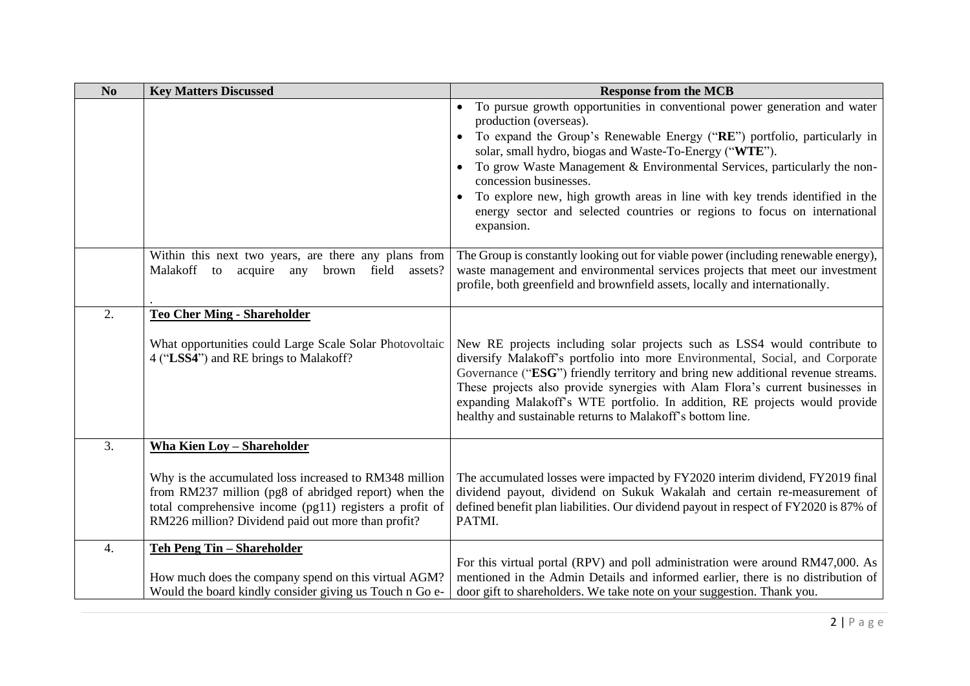| No | <b>Key Matters Discussed</b>                                                                                                                                                                                                    | <b>Response from the MCB</b>                                                                                                                                                                                                                                                                                                                                                                                                                                               |
|----|---------------------------------------------------------------------------------------------------------------------------------------------------------------------------------------------------------------------------------|----------------------------------------------------------------------------------------------------------------------------------------------------------------------------------------------------------------------------------------------------------------------------------------------------------------------------------------------------------------------------------------------------------------------------------------------------------------------------|
|    |                                                                                                                                                                                                                                 | • To pursue growth opportunities in conventional power generation and water<br>production (overseas).<br>$\bullet$                                                                                                                                                                                                                                                                                                                                                         |
|    |                                                                                                                                                                                                                                 | To expand the Group's Renewable Energy ("RE") portfolio, particularly in<br>solar, small hydro, biogas and Waste-To-Energy ("WTE").                                                                                                                                                                                                                                                                                                                                        |
|    |                                                                                                                                                                                                                                 | To grow Waste Management & Environmental Services, particularly the non-<br>$\bullet$<br>concession businesses.                                                                                                                                                                                                                                                                                                                                                            |
|    |                                                                                                                                                                                                                                 | To explore new, high growth areas in line with key trends identified in the<br>$\bullet$<br>energy sector and selected countries or regions to focus on international<br>expansion.                                                                                                                                                                                                                                                                                        |
|    | Within this next two years, are there any plans from<br>Malakoff to acquire any brown field assets?                                                                                                                             | The Group is constantly looking out for viable power (including renewable energy),<br>waste management and environmental services projects that meet our investment<br>profile, both greenfield and brownfield assets, locally and internationally.                                                                                                                                                                                                                        |
| 2. | <b>Teo Cher Ming - Shareholder</b>                                                                                                                                                                                              |                                                                                                                                                                                                                                                                                                                                                                                                                                                                            |
|    | What opportunities could Large Scale Solar Photovoltaic<br>4 ("LSS4") and RE brings to Malakoff?                                                                                                                                | New RE projects including solar projects such as LSS4 would contribute to<br>diversify Malakoff's portfolio into more Environmental, Social, and Corporate<br>Governance ("ESG") friendly territory and bring new additional revenue streams.<br>These projects also provide synergies with Alam Flora's current businesses in<br>expanding Malakoff's WTE portfolio. In addition, RE projects would provide<br>healthy and sustainable returns to Malakoff's bottom line. |
| 3. | <b>Wha Kien Loy - Shareholder</b>                                                                                                                                                                                               |                                                                                                                                                                                                                                                                                                                                                                                                                                                                            |
|    | Why is the accumulated loss increased to RM348 million<br>from RM237 million (pg8 of abridged report) when the<br>total comprehensive income (pg11) registers a profit of<br>RM226 million? Dividend paid out more than profit? | The accumulated losses were impacted by FY2020 interim dividend, FY2019 final<br>dividend payout, dividend on Sukuk Wakalah and certain re-measurement of<br>defined benefit plan liabilities. Our dividend payout in respect of FY2020 is 87% of<br>PATMI.                                                                                                                                                                                                                |
| 4. | <b>Teh Peng Tin - Shareholder</b><br>How much does the company spend on this virtual AGM?<br>Would the board kindly consider giving us Touch n Go e-                                                                            | For this virtual portal (RPV) and poll administration were around RM47,000. As<br>mentioned in the Admin Details and informed earlier, there is no distribution of<br>door gift to shareholders. We take note on your suggestion. Thank you.                                                                                                                                                                                                                               |
|    |                                                                                                                                                                                                                                 |                                                                                                                                                                                                                                                                                                                                                                                                                                                                            |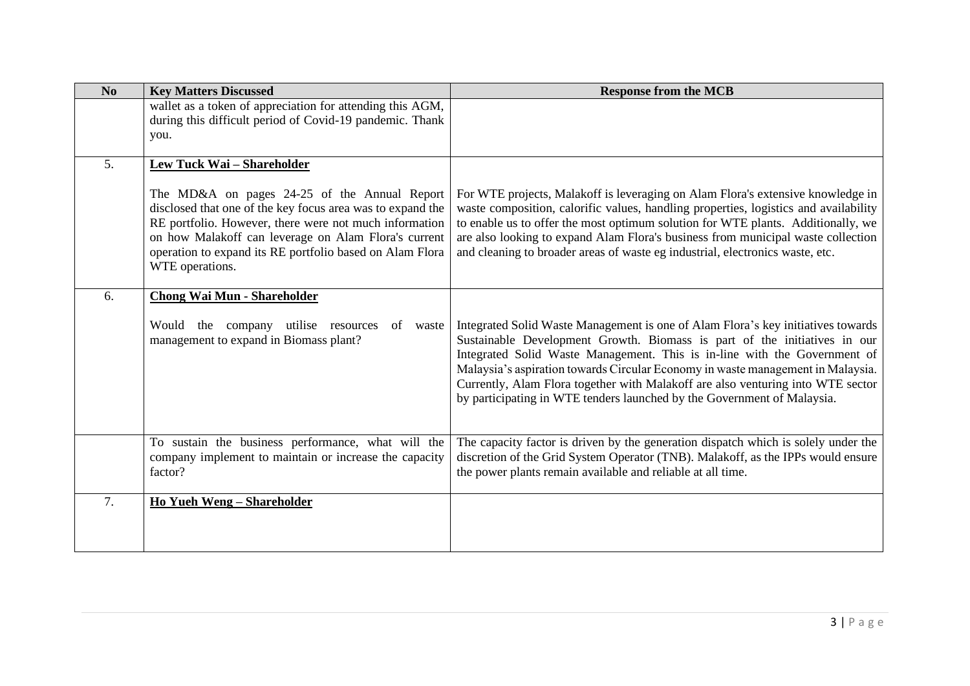| No | <b>Key Matters Discussed</b>                                                                                                                                                                                                                                                                                | <b>Response from the MCB</b>                                                                                                                                                                                                                                                                                                                                                                                                                                                                |
|----|-------------------------------------------------------------------------------------------------------------------------------------------------------------------------------------------------------------------------------------------------------------------------------------------------------------|---------------------------------------------------------------------------------------------------------------------------------------------------------------------------------------------------------------------------------------------------------------------------------------------------------------------------------------------------------------------------------------------------------------------------------------------------------------------------------------------|
|    | wallet as a token of appreciation for attending this AGM,<br>during this difficult period of Covid-19 pandemic. Thank<br>you.                                                                                                                                                                               |                                                                                                                                                                                                                                                                                                                                                                                                                                                                                             |
| 5. | Lew Tuck Wai - Shareholder                                                                                                                                                                                                                                                                                  |                                                                                                                                                                                                                                                                                                                                                                                                                                                                                             |
|    | The MD&A on pages 24-25 of the Annual Report<br>disclosed that one of the key focus area was to expand the<br>RE portfolio. However, there were not much information<br>on how Malakoff can leverage on Alam Flora's current<br>operation to expand its RE portfolio based on Alam Flora<br>WTE operations. | For WTE projects, Malakoff is leveraging on Alam Flora's extensive knowledge in<br>waste composition, calorific values, handling properties, logistics and availability<br>to enable us to offer the most optimum solution for WTE plants. Additionally, we<br>are also looking to expand Alam Flora's business from municipal waste collection<br>and cleaning to broader areas of waste eg industrial, electronics waste, etc.                                                            |
| 6. | <b>Chong Wai Mun - Shareholder</b>                                                                                                                                                                                                                                                                          |                                                                                                                                                                                                                                                                                                                                                                                                                                                                                             |
|    | company utilise resources<br>Would<br>the<br>of waste<br>management to expand in Biomass plant?                                                                                                                                                                                                             | Integrated Solid Waste Management is one of Alam Flora's key initiatives towards<br>Sustainable Development Growth. Biomass is part of the initiatives in our<br>Integrated Solid Waste Management. This is in-line with the Government of<br>Malaysia's aspiration towards Circular Economy in waste management in Malaysia.<br>Currently, Alam Flora together with Malakoff are also venturing into WTE sector<br>by participating in WTE tenders launched by the Government of Malaysia. |
|    | To sustain the business performance, what will the<br>company implement to maintain or increase the capacity<br>factor?                                                                                                                                                                                     | The capacity factor is driven by the generation dispatch which is solely under the<br>discretion of the Grid System Operator (TNB). Malakoff, as the IPPs would ensure<br>the power plants remain available and reliable at all time.                                                                                                                                                                                                                                                       |
| 7. | Ho Yueh Weng - Shareholder                                                                                                                                                                                                                                                                                  |                                                                                                                                                                                                                                                                                                                                                                                                                                                                                             |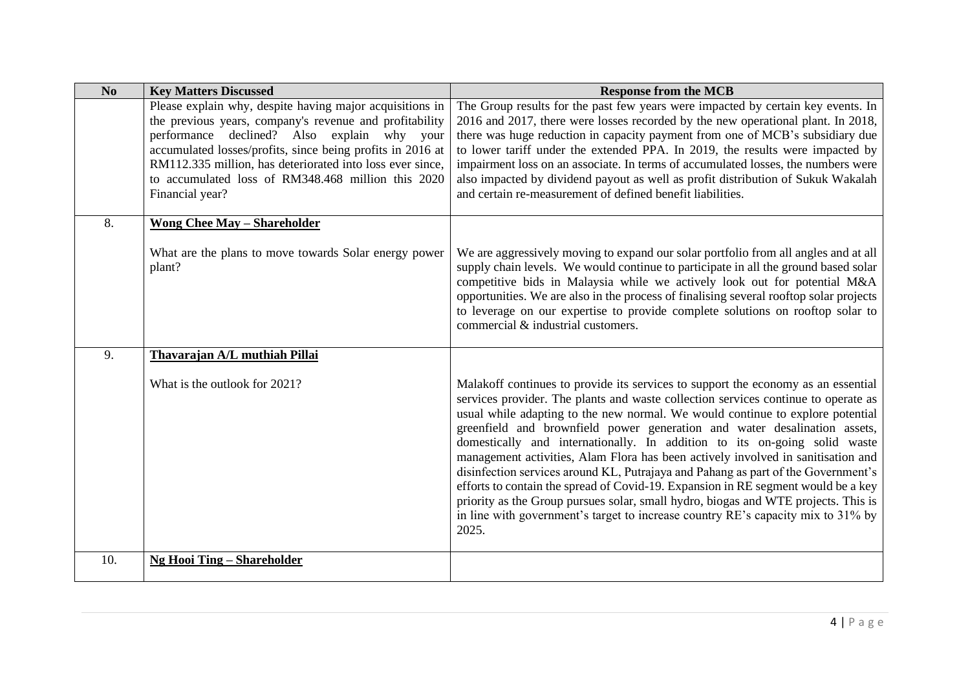| No  | <b>Key Matters Discussed</b>                                                                                                                                                                                                     | <b>Response from the MCB</b>                                                                                                                                                                                                                                                                                                                                                                                                                                                                                                                                                                                                                                                                                                                                                                                                                                         |
|-----|----------------------------------------------------------------------------------------------------------------------------------------------------------------------------------------------------------------------------------|----------------------------------------------------------------------------------------------------------------------------------------------------------------------------------------------------------------------------------------------------------------------------------------------------------------------------------------------------------------------------------------------------------------------------------------------------------------------------------------------------------------------------------------------------------------------------------------------------------------------------------------------------------------------------------------------------------------------------------------------------------------------------------------------------------------------------------------------------------------------|
|     | Please explain why, despite having major acquisitions in<br>the previous years, company's revenue and profitability<br>performance declined? Also explain why your<br>accumulated losses/profits, since being profits in 2016 at | The Group results for the past few years were impacted by certain key events. In<br>2016 and 2017, there were losses recorded by the new operational plant. In 2018,<br>there was huge reduction in capacity payment from one of MCB's subsidiary due<br>to lower tariff under the extended PPA. In 2019, the results were impacted by                                                                                                                                                                                                                                                                                                                                                                                                                                                                                                                               |
|     | RM112.335 million, has deteriorated into loss ever since,<br>to accumulated loss of RM348.468 million this 2020<br>Financial year?                                                                                               | impairment loss on an associate. In terms of accumulated losses, the numbers were<br>also impacted by dividend payout as well as profit distribution of Sukuk Wakalah<br>and certain re-measurement of defined benefit liabilities.                                                                                                                                                                                                                                                                                                                                                                                                                                                                                                                                                                                                                                  |
| 8.  | <b>Wong Chee May - Shareholder</b>                                                                                                                                                                                               |                                                                                                                                                                                                                                                                                                                                                                                                                                                                                                                                                                                                                                                                                                                                                                                                                                                                      |
|     | What are the plans to move towards Solar energy power<br>plant?                                                                                                                                                                  | We are aggressively moving to expand our solar portfolio from all angles and at all<br>supply chain levels. We would continue to participate in all the ground based solar<br>competitive bids in Malaysia while we actively look out for potential M&A<br>opportunities. We are also in the process of finalising several rooftop solar projects<br>to leverage on our expertise to provide complete solutions on rooftop solar to<br>commercial & industrial customers.                                                                                                                                                                                                                                                                                                                                                                                            |
| 9.  | Thavarajan A/L muthiah Pillai                                                                                                                                                                                                    |                                                                                                                                                                                                                                                                                                                                                                                                                                                                                                                                                                                                                                                                                                                                                                                                                                                                      |
|     | What is the outlook for 2021?                                                                                                                                                                                                    | Malakoff continues to provide its services to support the economy as an essential<br>services provider. The plants and waste collection services continue to operate as<br>usual while adapting to the new normal. We would continue to explore potential<br>greenfield and brownfield power generation and water desalination assets,<br>domestically and internationally. In addition to its on-going solid waste<br>management activities, Alam Flora has been actively involved in sanitisation and<br>disinfection services around KL, Putrajaya and Pahang as part of the Government's<br>efforts to contain the spread of Covid-19. Expansion in RE segment would be a key<br>priority as the Group pursues solar, small hydro, biogas and WTE projects. This is<br>in line with government's target to increase country RE's capacity mix to 31% by<br>2025. |
| 10. | <b>Ng Hooi Ting – Shareholder</b>                                                                                                                                                                                                |                                                                                                                                                                                                                                                                                                                                                                                                                                                                                                                                                                                                                                                                                                                                                                                                                                                                      |